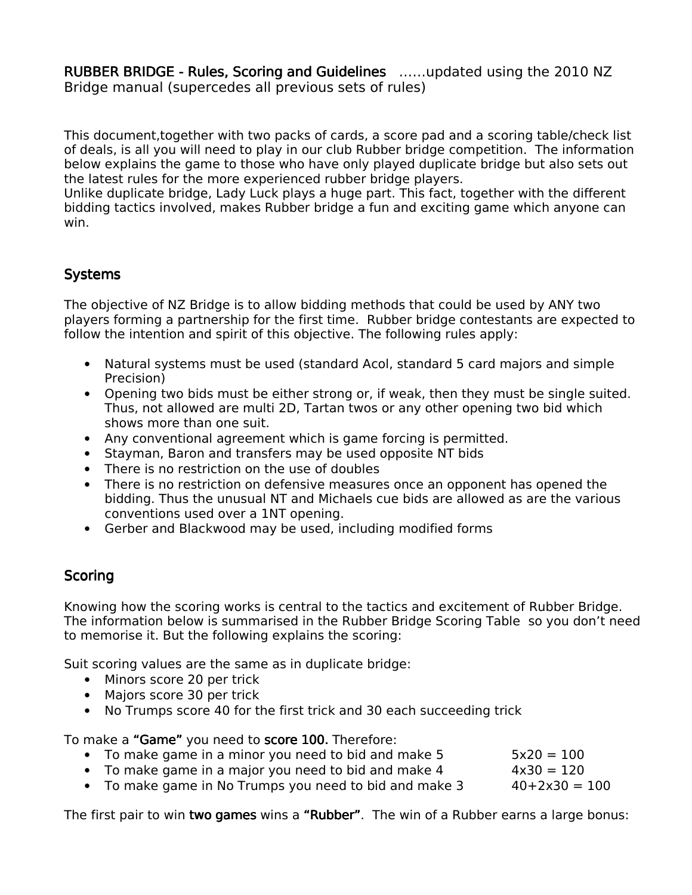RUBBER BRIDGE - Rules, Scoring and Guidelines ......updated using the 2010 NZ Bridge manual (supercedes all previous sets of rules)

This document,together with two packs of cards, a score pad and a scoring table/check list of deals, is all you will need to play in our club Rubber bridge competition. The information below explains the game to those who have only played duplicate bridge but also sets out the latest rules for the more experienced rubber bridge players.

Unlike duplicate bridge, Lady Luck plays a huge part. This fact, together with the different bidding tactics involved, makes Rubber bridge a fun and exciting game which anyone can win.

# **Systems**

The objective of NZ Bridge is to allow bidding methods that could be used by ANY two players forming a partnership for the first time. Rubber bridge contestants are expected to follow the intention and spirit of this objective. The following rules apply:

- Natural systems must be used (standard Acol, standard 5 card majors and simple Precision)
- Opening two bids must be either strong or, if weak, then they must be single suited. Thus, not allowed are multi 2D, Tartan twos or any other opening two bid which shows more than one suit.
- Any conventional agreement which is game forcing is permitted.
- Stayman, Baron and transfers may be used opposite NT bids
- There is no restriction on the use of doubles
- There is no restriction on defensive measures once an opponent has opened the bidding. Thus the unusual NT and Michaels cue bids are allowed as are the various conventions used over a 1NT opening.
- Gerber and Blackwood may be used, including modified forms

## **Scoring**

Knowing how the scoring works is central to the tactics and excitement of Rubber Bridge. The information below is summarised in the Rubber Bridge Scoring Table so you don't need to memorise it. But the following explains the scoring:

Suit scoring values are the same as in duplicate bridge:

- Minors score 20 per trick
- Majors score 30 per trick
- No Trumps score 40 for the first trick and 30 each succeeding trick

To make a "Game" you need to score 100. Therefore:

- To make game in a minor you need to bid and make  $5 \sim$   $5 \times 20 = 100$
- To make game in a major you need to bid and make  $4 \times 30 = 120$
- To make game in No Trumps you need to bid and make  $3 \overline{3}$   $40+2\times30 = 100$

The first pair to win **two games** wins a "Rubber". The win of a Rubber earns a large bonus: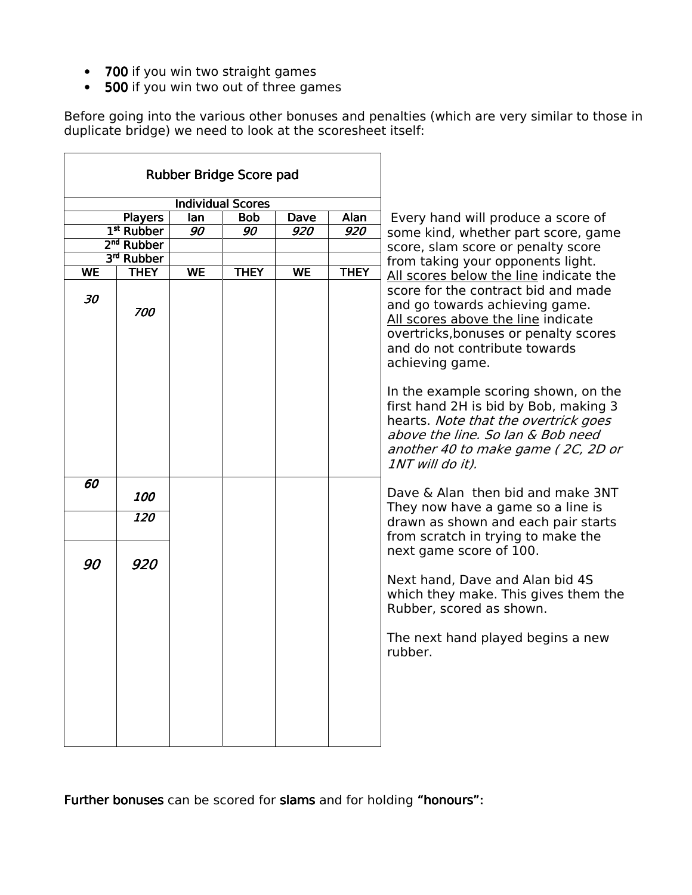- 700 if you win two straight games
- $\cdot$  500 if you win two out of three games

Before going into the various other bonuses and penalties (which are very similar to those in duplicate bridge) we need to look at the scoresheet itself:

| Rubber Bridge Score pad  |                    |           |             |             |             |                                                                                                                                                                                                                                                                                         |
|--------------------------|--------------------|-----------|-------------|-------------|-------------|-----------------------------------------------------------------------------------------------------------------------------------------------------------------------------------------------------------------------------------------------------------------------------------------|
| <b>Individual Scores</b> |                    |           |             |             |             |                                                                                                                                                                                                                                                                                         |
| <b>Players</b>           |                    | lan       | <b>Bob</b>  | <b>Dave</b> | Alan        | Every hand will produce a score of                                                                                                                                                                                                                                                      |
| 1 <sup>st</sup> Rubber   |                    | 90        | 90          | 920         | 920         | some kind, whether part score, game                                                                                                                                                                                                                                                     |
| 2 <sup>nd</sup> Rubber   |                    |           |             |             |             | score, slam score or penalty score                                                                                                                                                                                                                                                      |
|                          | 3rd Rubber         |           |             |             |             | from taking your opponents light.<br>All scores below the line indicate the<br>score for the contract bid and made<br>and go towards achieving game.<br>All scores above the line indicate<br>overtricks, bonuses or penalty scores<br>and do not contribute towards<br>achieving game. |
| <b>WE</b><br>30          | <b>THEY</b><br>700 | <b>WE</b> | <b>THEY</b> | <b>WE</b>   | <b>THEY</b> |                                                                                                                                                                                                                                                                                         |
|                          |                    |           |             |             |             | In the example scoring shown, on the<br>first hand 2H is bid by Bob, making 3<br>hearts. Note that the overtrick goes<br>above the line. So lan & Bob need<br>another 40 to make game (2C, 2D or<br>1NT will do it).                                                                    |
| 60                       | 100                |           |             |             |             | Dave & Alan then bid and make 3NT<br>They now have a game so a line is<br>drawn as shown and each pair starts<br>from scratch in trying to make the<br>next game score of 100.<br>Next hand, Dave and Alan bid 4S<br>which they make. This gives them the<br>Rubber, scored as shown.   |
|                          | 120                |           |             |             |             |                                                                                                                                                                                                                                                                                         |
| 90                       | 920                |           |             |             |             |                                                                                                                                                                                                                                                                                         |
|                          |                    |           |             |             |             | The next hand played begins a new<br>rubber.                                                                                                                                                                                                                                            |

Further bonuses can be scored for slams and for holding "honours":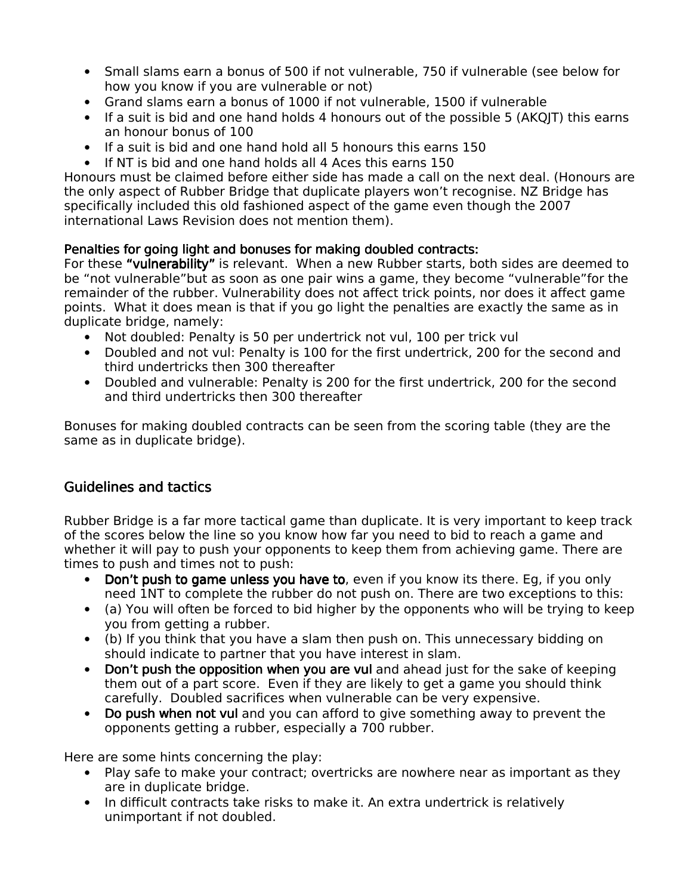- Small slams earn a bonus of 500 if not vulnerable, 750 if vulnerable (see below for how you know if you are vulnerable or not)
- Grand slams earn a bonus of 1000 if not vulnerable, 1500 if vulnerable
- If a suit is bid and one hand holds 4 honours out of the possible 5 (AKQJT) this earns an honour bonus of 100
- If a suit is bid and one hand hold all 5 honours this earns 150
- If NT is bid and one hand holds all 4 Aces this earns 150

Honours must be claimed before either side has made a call on the next deal. (Honours are the only aspect of Rubber Bridge that duplicate players won't recognise. NZ Bridge has specifically included this old fashioned aspect of the game even though the 2007 international Laws Revision does not mention them).

#### Penalties for going light and bonuses for making doubled contracts:

For these "vulnerability" is relevant. When a new Rubber starts, both sides are deemed to be "not vulnerable"but as soon as one pair wins a game, they become "vulnerable"for the remainder of the rubber. Vulnerability does not affect trick points, nor does it affect game points. What it does mean is that if you go light the penalties are exactly the same as in duplicate bridge, namely:

- Not doubled: Penalty is 50 per undertrick not vul, 100 per trick vul
- Doubled and not vul: Penalty is 100 for the first undertrick, 200 for the second and third undertricks then 300 thereafter
- Doubled and vulnerable: Penalty is 200 for the first undertrick, 200 for the second and third undertricks then 300 thereafter

Bonuses for making doubled contracts can be seen from the scoring table (they are the same as in duplicate bridge).

### Guidelines and tactics

Rubber Bridge is a far more tactical game than duplicate. It is very important to keep track of the scores below the line so you know how far you need to bid to reach a game and whether it will pay to push your opponents to keep them from achieving game. There are times to push and times not to push:

- Don't push to game unless you have to, even if you know its there. Eg, if you only need 1NT to complete the rubber do not push on. There are two exceptions to this:
- (a) You will often be forced to bid higher by the opponents who will be trying to keep you from getting a rubber.
- (b) If you think that you have a slam then push on. This unnecessary bidding on should indicate to partner that you have interest in slam.
- Don't push the opposition when you are vul and ahead just for the sake of keeping them out of a part score. Even if they are likely to get a game you should think carefully. Doubled sacrifices when vulnerable can be very expensive.
- Do push when not vul and you can afford to give something away to prevent the opponents getting a rubber, especially a 700 rubber.

Here are some hints concerning the play:

- Play safe to make your contract; overtricks are nowhere near as important as they are in duplicate bridge.
- In difficult contracts take risks to make it. An extra undertrick is relatively unimportant if not doubled.